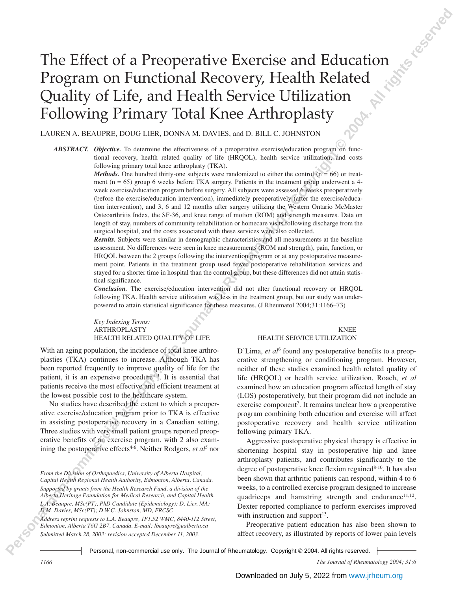# **The Effect of a Preoperative Exercise and Education**<br> **Program on Functional Recovery, Health Related**<br> **Quality of Life, and Health Service Ufilization**<br>
Following Primary Toled Knew Health Corrier Copyright Tole Commer The Effect of a Preoperative Exercise and Education Program on Functional Recovery, Health Related Quality of Life, and Health Service Utilization Following Primary Total Knee Arthroplasty

LAUREN A. BEAUPRE, DOUG LIER, DONNA M. DAVIES, and D. BILL C. JOHNSTON

*ABSTRACT. Objective.* To determine the effectiveness of a preoperative exercise/education program on functional recovery, health related quality of life (HRQOL), health service utilization, and costs following primary total knee arthroplasty (TKA).

> *Methods.* One hundred thirty-one subjects were randomized to either the control  $(n = 66)$  or treatment (n = 65) group 6 weeks before TKA surgery. Patients in the treatment group underwent a 4 week exercise/education program before surgery. All subjects were assessed 6 weeks preoperatively (before the exercise/education intervention), immediately preoperatively (after the exercise/education intervention), and 3, 6 and 12 months after surgery utilizing the Western Ontario McMaster Osteoarthritis Index, the SF-36, and knee range of motion (ROM) and strength measures. Data on length of stay, numbers of community rehabilitation or homecare visits following discharge from the surgical hospital, and the costs associated with these services were also collected.

> *Results.* Subjects were similar in demographic characteristics and all measurements at the baseline assessment. No differences were seen in knee measurements (ROM and strength), pain, function, or HRQOL between the 2 groups following the intervention program or at any postoperative measurement point. Patients in the treatment group used fewer postoperative rehabilitation services and stayed for a shorter time in hospital than the control group, but these differences did not attain statistical significance.

> *Conclusion.* The exercise/education intervention did not alter functional recovery or HRQOL following TKA. Health service utilization was less in the treatment group, but our study was underpowered to attain statistical significance for these measures. (J Rheumatol 2004;31:1166–73)

*Key Indexing Terms:* ARTHROPLASTY KNEE HEALTH RELATED QUALITY OF LIFE HEALTH SERVICE UTILIZATION

With an aging population, the incidence of total knee arthroplasties (TKA) continues to increase. Although TKA has been reported frequently to improve quality of life for the patient, it is an expensive procedure<sup>1-3</sup>. It is essential that patients receive the most effective and efficient treatment at the lowest possible cost to the healthcare system.

No studies have described the extent to which a preoperative exercise/education program prior to TKA is effective in assisting postoperative recovery in a Canadian setting. Three studies with very small patient groups reported preoperative benefits of an exercise program, with 2 also examining the postoperative effects<sup>4-6</sup>. Neither Rodgers, *et al*<sup>5</sup> nor

*From the Division of Orthopaedics, University of Alberta Hospital, Capital Health Regional Health Authority, Edmonton, Alberta, Canada. Supported by grants from the Health Research Fund, a division of the Alberta Heritage Foundation for Medical Research, and Capital Health. L.A. Beaupre, MSc(PT), PhD Candidate (Epidemiology); D. Lier, MA; D.M. Davies, MSc(PT); D.W.C. Johnston, MD, FRCSC. Address reprint requests to L.A. Beaupre, 1F1.52 WMC, 8440-112 Street, Edmonton, Alberta T6G 2B7, Canada. E-mail: lbeaupre@ualberta.ca Submitted March 28, 2003; revision accepted December 11, 2003.*

D'Lima, et al<sup>6</sup> found any postoperative benefits to a preoperative strengthening or conditioning program. However, neither of these studies examined health related quality of life (HRQOL) or health service utilization. Roach, *et al* examined how an education program affected length of stay (LOS) postoperatively, but their program did not include an exercise component<sup>7</sup>. It remains unclear how a preoperative program combining both education and exercise will affect postoperative recovery and health service utilization following primary TKA.

Aggressive postoperative physical therapy is effective in shortening hospital stay in postoperative hip and knee arthroplasty patients, and contributes significantly to the degree of postoperative knee flexion regained<sup>8-10</sup>. It has also been shown that arthritic patients can respond, within 4 to 6 weeks, to a controlled exercise program designed to increase quadriceps and hamstring strength and endurance $11,12$ . Dexter reported compliance to perform exercises improved with instruction and support $13$ .

Preoperative patient education has also been shown to affect recovery, as illustrated by reports of lower pain levels

Personal, non-commercial use only. The Journal of Rheumatology. Copyright © 2004. All rights reserved.

*1166 The Journal of Rheumatology 2004; 31:6*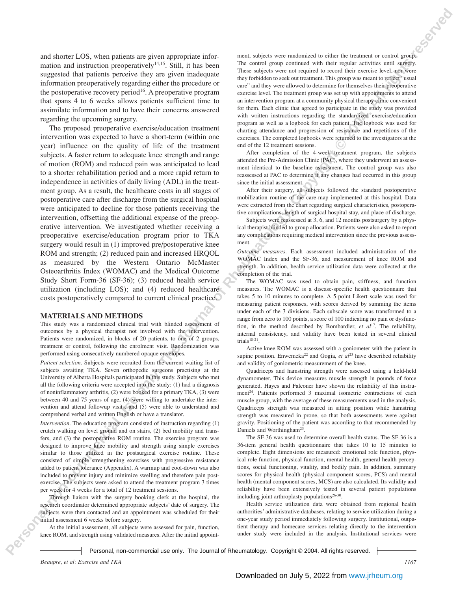and shorter LOS, when patients are given appropriate information and instruction preoperatively $14,15$ . Still, it has been suggested that patients perceive they are given inadequate information preoperatively regarding either the procedure or the postoperative recovery period<sup>16</sup>. A preoperative program that spans 4 to 6 weeks allows patients sufficient time to assimilate information and to have their concerns answered regarding the upcoming surgery.

**Personal non-computer interaction in the Commercial Use of Commercial Use of Commercial Use of Commercial Use of Commercial Use of Commercial Use of Commercial Use of Commercial Use of Commercial Use of Commercial Use of** The proposed preoperative exercise/education treatment intervention was expected to have a short-term (within one year) influence on the quality of life of the treatment subjects. A faster return to adequate knee strength and range of motion (ROM) and reduced pain was anticipated to lead to a shorter rehabilitation period and a more rapid return to independence in activities of daily living (ADL) in the treatment group. As a result, the healthcare costs in all stages of postoperative care after discharge from the surgical hospital were anticipated to decline for those patients receiving the intervention, offsetting the additional expense of the preoperative intervention. We investigated whether receiving a preoperative exercise/education program prior to TKA surgery would result in (1) improved pre/postoperative knee ROM and strength; (2) reduced pain and increased HRQOL as measured by the Western Ontario McMaster Osteoarthritis Index (WOMAC) and the Medical Outcome Study Short Form-36 (SF-36); (3) reduced health service utilization (including LOS); and (4) reduced healthcare costs postoperatively compared to current clinical practice.

### **MATERIALS AND METHODS**

This study was a randomized clinical trial with blinded assessment of outcomes by a physical therapist not involved with the intervention. Patients were randomized, in blocks of 20 patients, to one of 2 groups, treatment or control, following the enrolment visit. Randomization was performed using consecutively numbered opaque envelopes.

*Patient selection.* Subjects were recruited from the current waiting list of subjects awaiting TKA. Seven orthopedic surgeons practising at the University of Alberta Hospitals participated in this study. Subjects who met all the following criteria were accepted into the study: (1) had a diagnosis of noninflammatory arthritis, (2) were booked for a primary TKA, (3) were between 40 and 75 years of age, (4) were willing to undertake the intervention and attend followup visits, and (5) were able to understand and comprehend verbal and written English or have a translator.

*Intervention*. The education program consisted of instruction regarding (1) crutch walking on level ground and on stairs, (2) bed mobility and transfers, and (3) the postoperative ROM routine. The exercise program was designed to improve knee mobility and strength using simple exercises similar to those utilized in the postsurgical exercise routine. These consisted of simple strengthening exercises with progressive resistance added to patient tolerance (Appendix). A warmup and cool-down was also included to prevent injury and minimize swelling and therefore pain postexercise. The subjects were asked to attend the treatment program 3 times per week for 4 weeks for a total of 12 treatment sessions.

Through liaison with the surgery booking clerk at the hospital, the research coordinator determined appropriate subjects' date of surgery. The subjects were then contacted and an appointment was scheduled for their initial assessment 6 weeks before surgery.

At the initial assessment, all subjects were assessed for pain, function, knee ROM, and strength using validated measures. After the initial appoint-

ment, subjects were randomized to either the treatment or control group. The control group continued with their regular activities until surgery. These subjects were not required to record their exercise level, nor were they forbidden to seek out treatment. This group was meant to reflect "usual care" and they were allowed to determine for themselves their preoperative exercise level. The treatment group was set up with appointments to attend an intervention program at a community physical therapy clinic convenient for them. Each clinic that agreed to participate in the study was provided with written instructions regarding the standardized exercise/education program as well as a logbook for each patient. The logbook was used for charting attendance and progression of resistance and repetitions of the exercises. The completed logbooks were returned to the investigators at the end of the 12 treatment sessions.

After completion of the 4-week treatment program, the subjects attended the Pre-Admission Clinic (PAC), where they underwent an assessment identical to the baseline assessment. The control group was also reassessed at PAC to determine if any changes had occurred in this group since the initial assessment.

After their surgery, all subjects followed the standard postoperative mobilization routine of the care-map implemented at this hospital. Data were extracted from the chart regarding surgical characteristics, postoperative complications, length of surgical hospital stay, and place of discharge.

Subjects were reassessed at 3, 6, and 12 months postsurgery by a physical therapist blinded to group allocation. Patients were also asked to report any complications requiring medical intervention since the previous assessment.

*Outcome measures.* Each assessment included administration of the WOMAC Index and the SF-36, and measurement of knee ROM and strength. In addition, health service utilization data were collected at the completion of the trial.

The WOMAC was used to obtain pain, stiffness, and function measures. The WOMAC is a disease-specific health questionnaire that takes 5 to 10 minutes to complete. A 5-point Likert scale was used for measuring patient responses, with scores derived by summing the items under each of the 3 divisions. Each subscale score was transformed to a range from zero to 100 points, a score of 100 indicating no pain or dysfunction, in the method described by Bombardier, *et al*17. The reliability, internal consistency, and validity have been tested in several clinical  $trials<sup>18-21</sup>$ .

Active knee ROM was assessed with a goniometer with the patient in supine position. Enwemeka<sup>22</sup> and Gogia, et al<sup>23</sup> have described reliability and validity of goniometric measurement of the knee.

Quadriceps and hamstring strength were assessed using a held-held dynamometer. This device measures muscle strength in pounds of force generated. Hayes and Falconer have shown the reliability of this instrument<sup>24</sup>. Patients performed 3 maximal isometric contractions of each muscle group, with the average of these measurements used in the analysis. Quadriceps strength was measured in sitting position while hamstring strength was measured in prone, so that both assessments were against gravity. Positioning of the patient was according to that recommended by Daniels and Worthingham<sup>25</sup>.

The SF-36 was used to determine overall health status. The SF-36 is a 36-item general health questionnaire that takes 10 to 15 minutes to complete. Eight dimensions are measured: emotional role function, physical role function, physical function, mental health, general health perceptions, social functioning, vitality, and bodily pain. In addition, summary scores for physical health (physical component scores, PCS) and mental health (mental component scores, MCS) are also calculated. Its validity and reliability have been extensively tested in several patient populations including joint arthroplasty populations $26-30$ .

Health service utilization data were obtained from regional health authorities' administrative databases, relating to service utilization during a one-year study period immediately following surgery. Institutional, outpatient therapy and homecare services relating directly to the intervention under study were included in the analysis. Institutional services were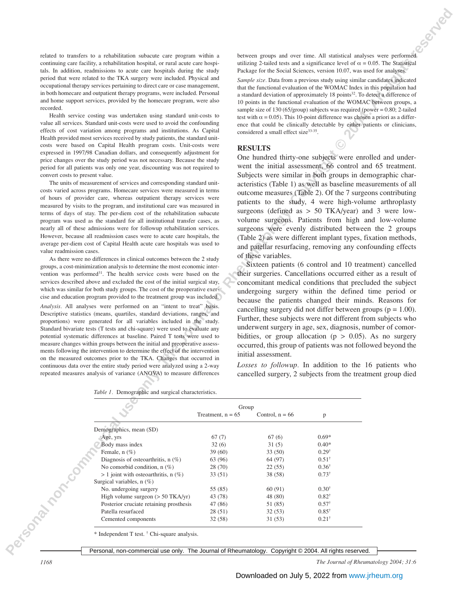|  |  |  |                                                                        |  | between groups and over time. All statistical analyses were performed                  |
|--|--|--|------------------------------------------------------------------------|--|----------------------------------------------------------------------------------------|
|  |  |  |                                                                        |  | utilizing 2-tailed tests and a significance level of $\alpha = 0.05$ . The Statistical |
|  |  |  | Package for the Social Sciences, version 10.07, was used for analyses. |  |                                                                                        |

### **RESULTS**

| related to transfers to a rehabilitation subacute care program within a<br>between groups and over time. All statistical analyses were performed<br>continuing care facility, a rehabilitation hospital, or rural acute care hospi-<br>utilizing 2-tailed tests and a significance level of $\alpha = 0.05$ . The Statistical<br>tals. In addition, readmissions to acute care hospitals during the study<br>Package for the Social Sciences, version 10.07, was used for analyses.<br>period that were related to the TKA surgery were included. Physical and<br>Sample size. Data from a previous study using similar candidates indicated<br>occupational therapy services pertaining to direct care or case management,<br>that the functional evaluation of the WOMAC Index in this population had<br>in both homecare and outpatient therapy programs, were included. Personal<br>a standard deviation of approximately 18 points <sup>32</sup> . To detect a difference of<br>and home support services, provided by the homecare program, were also<br>10 points in the functional evaluation of the WOMAC between groups, a<br>recorded.<br>sample size of $130$ (65/group) subjects was required (power = 0.80; 2-tailed<br>Health service costing was undertaken using standard unit-costs to<br>test with $\alpha$ = 0.05). This 10-point difference was chosen a priori as a differ-<br>value all services. Standard unit-costs were used to avoid the confounding<br>ence that could be clinically detectable by either patients or clinicians,<br>effects of cost variation among programs and institutions. As Capital<br>considered a small effect size <sup>33-35</sup> .<br>Health provided most services received by study patients, the standard unit-<br>costs were based on Capital Health program costs. Unit-costs were<br><b>RESULTS</b><br>expressed in 1997/98 Canadian dollars, and consequently adjustment for<br>One hundred thirty-one subjects were enrolled and under-<br>price changes over the study period was not necessary. Because the study<br>went the initial assessment, 66 control and 65 treatment.<br>period for all patients was only one year, discounting was not required to<br>Subjects were similar in both groups in demographic char-<br>convert costs to present value.<br>The units of measurement of services and corresponding standard unit-<br>acteristics (Table 1) as well as baseline measurements of all<br>costs varied across programs. Homecare services were measured in terms<br>outcome measures (Table 2). Of the 7 surgeons contributing<br>of hours of provider care, whereas outpatient therapy services were<br>patients to the study, 4 were high-volume arthroplasty<br>measured by visits to the program, and institutional care was measured in<br>surgeons (defined as $> 50$ TKA/year) and 3 were low-<br>terms of days of stay. The per-diem cost of the rehabilitation subacute<br>volume surgeons. Patients from high and low-volume<br>program was used as the standard for all institutional transfer cases, as<br>surgeons were evenly distributed between the 2 groups<br>nearly all of these admissions were for followup rehabilitation services.<br>However, because all readmission cases were to acute care hospitals, the<br>(Table 2) as were different implant types, fixation methods,<br>average per-diem cost of Capital Health acute care hospitals was used to<br>and patellar resurfacing, removing any confounding effects<br>value readmission cases.<br>of these variables.<br>As there were no differences in clinical outcomes between the 2 study<br>Sixteen patients (6 control and 10 treatment) cancelled<br>groups, a cost-minimization analysis to determine the most economic inter-<br>their surgeries. Cancellations occurred either as a result of<br>vention was performed <sup>31</sup> . The health service costs were based on the<br>services described above and excluded the cost of the initial surgical stay,<br>concomitant medical conditions that precluded the subject<br>which was similar for both study groups. The cost of the preoperative exer-<br>undergoing surgery within the defined time period or<br>cise and education program provided to the treatment group was included.<br>because the patients changed their minds. Reasons for<br>Analysis. All analyses were performed on an "intent to treat" basis.<br>cancelling surgery did not differ between groups ( $p = 1.00$ ).<br>Descriptive statistics (means, quartiles, standard deviations, ranges, and<br>Further, these subjects were not different from subjects who<br>proportions) were generated for all variables included in the study.<br>underwent surgery in age, sex, diagnosis, number of comor-<br>Standard bivariate tests (T tests and chi-square) were used to evaluate any<br>bidities, or group allocation ( $p > 0.05$ ). As no surgery<br>potential systematic differences at baseline. Paired T tests were used to<br>measure changes within groups between the initial and preoperative assess-<br>occurred, this group of patients was not followed beyond the<br>ments following the intervention to determine the effect of the intervention<br>initial assessment.<br>on the measured outcomes prior to the TKA. Changes that occurred in<br>Losses to followup. In addition to the 16 patients who<br>continuous data over the entire study period were analyzed using a 2-way<br>cancelled surgery, 2 subjects from the treatment group died<br>repeated measures analysis of variance (ANOVA) to measure differences<br>Table 1. Demographic and surgical characteristics.<br>Group<br>Treatment, $n = 65$<br>Control, $n = 66$<br>p<br>Demographics, mean (SD)<br>$0.69*$<br>Age, yrs<br>67(7)<br>67(6)<br>Body mass index<br>32(6)<br>31(5)<br>$0.40*$<br>Female, $n$ $(\%)$<br>$0.29^{\dagger}$<br>39 (60)<br>33(50)<br>Diagnosis of osteoarthritis, $n$ (%)<br>63 (96)<br>64 (97)<br>$0.51^{\dagger}$<br><b>ISORATION DOM</b><br>No comorbid condition, $n$ (%)<br>28 (70)<br>22(55)<br>$0.36^{\dagger}$<br>$> 1$ joint with osteoarthritis, n $(\%)$<br>$0.73^{\dagger}$<br>33 (51)<br>38 (58)<br>Surgical variables, n (%)<br>No. undergoing surgery<br>$0.30^{\dagger}$<br>55 (85)<br>60(91)<br>$0.82^{\dagger}$<br>High volume surgeon $(> 50$ TKA/yr)<br>43 (78)<br>48 (80)<br>$0.57^{\dagger}$<br>Posterior cruciate retaining prosthesis<br>47 (86)<br>51 (85)<br>Patella resurfaced<br>28(51)<br>32(53)<br>$0.85^{\dagger}$<br>$0.21^{\dagger}$<br>Cemented components<br>32(58)<br>31(53)<br>* Independent T test. † Chi-square analysis. |  |  |
|----------------------------------------------------------------------------------------------------------------------------------------------------------------------------------------------------------------------------------------------------------------------------------------------------------------------------------------------------------------------------------------------------------------------------------------------------------------------------------------------------------------------------------------------------------------------------------------------------------------------------------------------------------------------------------------------------------------------------------------------------------------------------------------------------------------------------------------------------------------------------------------------------------------------------------------------------------------------------------------------------------------------------------------------------------------------------------------------------------------------------------------------------------------------------------------------------------------------------------------------------------------------------------------------------------------------------------------------------------------------------------------------------------------------------------------------------------------------------------------------------------------------------------------------------------------------------------------------------------------------------------------------------------------------------------------------------------------------------------------------------------------------------------------------------------------------------------------------------------------------------------------------------------------------------------------------------------------------------------------------------------------------------------------------------------------------------------------------------------------------------------------------------------------------------------------------------------------------------------------------------------------------------------------------------------------------------------------------------------------------------------------------------------------------------------------------------------------------------------------------------------------------------------------------------------------------------------------------------------------------------------------------------------------------------------------------------------------------------------------------------------------------------------------------------------------------------------------------------------------------------------------------------------------------------------------------------------------------------------------------------------------------------------------------------------------------------------------------------------------------------------------------------------------------------------------------------------------------------------------------------------------------------------------------------------------------------------------------------------------------------------------------------------------------------------------------------------------------------------------------------------------------------------------------------------------------------------------------------------------------------------------------------------------------------------------------------------------------------------------------------------------------------------------------------------------------------------------------------------------------------------------------------------------------------------------------------------------------------------------------------------------------------------------------------------------------------------------------------------------------------------------------------------------------------------------------------------------------------------------------------------------------------------------------------------------------------------------------------------------------------------------------------------------------------------------------------------------------------------------------------------------------------------------------------------------------------------------------------------------------------------------------------------------------------------------------------------------------------------------------------------------------------------------------------------------------------------------------------------------------------------------------------------------------------------------------------------------------------------------------------------------------------------------------------------------------------------------------------------------------------------------------------------------------------------------------------------------------------------------------------------------------------------------------------------------------------------------------------------------------------------------------------------------------------------------------------------------------------------------------------------------------------------------------------------------------------------------------------------------------------------------------------------------------------------------------------------------------------------------------------------------------------------------------------------------------------------------------------------------------------------------------------------------------------------------------------------------------------------------------------------------------------------------------------------------------------------------------------------------------------------------------------------------------------------------------------------------------------------------------------------------------------------------------------------------------------------------------------------------------------------------------------------------------------------------------------------------------------------------------------------------------------------------------------------------------------------------------------------------------------------------------------------------------------------------------|--|--|
|                                                                                                                                                                                                                                                                                                                                                                                                                                                                                                                                                                                                                                                                                                                                                                                                                                                                                                                                                                                                                                                                                                                                                                                                                                                                                                                                                                                                                                                                                                                                                                                                                                                                                                                                                                                                                                                                                                                                                                                                                                                                                                                                                                                                                                                                                                                                                                                                                                                                                                                                                                                                                                                                                                                                                                                                                                                                                                                                                                                                                                                                                                                                                                                                                                                                                                                                                                                                                                                                                                                                                                                                                                                                                                                                                                                                                                                                                                                                                                                                                                                                                                                                                                                                                                                                                                                                                                                                                                                                                                                                                                                                                                                                                                                                                                                                                                                                                                                                                                                                                                                                                                                                                                                                                                                                                                                                                                                                                                                                                                                                                                                                                                                                                                                                                                                                                                                                                                                                                                                                                                                                                                                                                                                                                                                                                                                                                                                                                                                                                                                                                                                                                                                                                              |  |  |
|                                                                                                                                                                                                                                                                                                                                                                                                                                                                                                                                                                                                                                                                                                                                                                                                                                                                                                                                                                                                                                                                                                                                                                                                                                                                                                                                                                                                                                                                                                                                                                                                                                                                                                                                                                                                                                                                                                                                                                                                                                                                                                                                                                                                                                                                                                                                                                                                                                                                                                                                                                                                                                                                                                                                                                                                                                                                                                                                                                                                                                                                                                                                                                                                                                                                                                                                                                                                                                                                                                                                                                                                                                                                                                                                                                                                                                                                                                                                                                                                                                                                                                                                                                                                                                                                                                                                                                                                                                                                                                                                                                                                                                                                                                                                                                                                                                                                                                                                                                                                                                                                                                                                                                                                                                                                                                                                                                                                                                                                                                                                                                                                                                                                                                                                                                                                                                                                                                                                                                                                                                                                                                                                                                                                                                                                                                                                                                                                                                                                                                                                                                                                                                                                                              |  |  |
|                                                                                                                                                                                                                                                                                                                                                                                                                                                                                                                                                                                                                                                                                                                                                                                                                                                                                                                                                                                                                                                                                                                                                                                                                                                                                                                                                                                                                                                                                                                                                                                                                                                                                                                                                                                                                                                                                                                                                                                                                                                                                                                                                                                                                                                                                                                                                                                                                                                                                                                                                                                                                                                                                                                                                                                                                                                                                                                                                                                                                                                                                                                                                                                                                                                                                                                                                                                                                                                                                                                                                                                                                                                                                                                                                                                                                                                                                                                                                                                                                                                                                                                                                                                                                                                                                                                                                                                                                                                                                                                                                                                                                                                                                                                                                                                                                                                                                                                                                                                                                                                                                                                                                                                                                                                                                                                                                                                                                                                                                                                                                                                                                                                                                                                                                                                                                                                                                                                                                                                                                                                                                                                                                                                                                                                                                                                                                                                                                                                                                                                                                                                                                                                                                              |  |  |
|                                                                                                                                                                                                                                                                                                                                                                                                                                                                                                                                                                                                                                                                                                                                                                                                                                                                                                                                                                                                                                                                                                                                                                                                                                                                                                                                                                                                                                                                                                                                                                                                                                                                                                                                                                                                                                                                                                                                                                                                                                                                                                                                                                                                                                                                                                                                                                                                                                                                                                                                                                                                                                                                                                                                                                                                                                                                                                                                                                                                                                                                                                                                                                                                                                                                                                                                                                                                                                                                                                                                                                                                                                                                                                                                                                                                                                                                                                                                                                                                                                                                                                                                                                                                                                                                                                                                                                                                                                                                                                                                                                                                                                                                                                                                                                                                                                                                                                                                                                                                                                                                                                                                                                                                                                                                                                                                                                                                                                                                                                                                                                                                                                                                                                                                                                                                                                                                                                                                                                                                                                                                                                                                                                                                                                                                                                                                                                                                                                                                                                                                                                                                                                                                                              |  |  |
|                                                                                                                                                                                                                                                                                                                                                                                                                                                                                                                                                                                                                                                                                                                                                                                                                                                                                                                                                                                                                                                                                                                                                                                                                                                                                                                                                                                                                                                                                                                                                                                                                                                                                                                                                                                                                                                                                                                                                                                                                                                                                                                                                                                                                                                                                                                                                                                                                                                                                                                                                                                                                                                                                                                                                                                                                                                                                                                                                                                                                                                                                                                                                                                                                                                                                                                                                                                                                                                                                                                                                                                                                                                                                                                                                                                                                                                                                                                                                                                                                                                                                                                                                                                                                                                                                                                                                                                                                                                                                                                                                                                                                                                                                                                                                                                                                                                                                                                                                                                                                                                                                                                                                                                                                                                                                                                                                                                                                                                                                                                                                                                                                                                                                                                                                                                                                                                                                                                                                                                                                                                                                                                                                                                                                                                                                                                                                                                                                                                                                                                                                                                                                                                                                              |  |  |
|                                                                                                                                                                                                                                                                                                                                                                                                                                                                                                                                                                                                                                                                                                                                                                                                                                                                                                                                                                                                                                                                                                                                                                                                                                                                                                                                                                                                                                                                                                                                                                                                                                                                                                                                                                                                                                                                                                                                                                                                                                                                                                                                                                                                                                                                                                                                                                                                                                                                                                                                                                                                                                                                                                                                                                                                                                                                                                                                                                                                                                                                                                                                                                                                                                                                                                                                                                                                                                                                                                                                                                                                                                                                                                                                                                                                                                                                                                                                                                                                                                                                                                                                                                                                                                                                                                                                                                                                                                                                                                                                                                                                                                                                                                                                                                                                                                                                                                                                                                                                                                                                                                                                                                                                                                                                                                                                                                                                                                                                                                                                                                                                                                                                                                                                                                                                                                                                                                                                                                                                                                                                                                                                                                                                                                                                                                                                                                                                                                                                                                                                                                                                                                                                                              |  |  |
|                                                                                                                                                                                                                                                                                                                                                                                                                                                                                                                                                                                                                                                                                                                                                                                                                                                                                                                                                                                                                                                                                                                                                                                                                                                                                                                                                                                                                                                                                                                                                                                                                                                                                                                                                                                                                                                                                                                                                                                                                                                                                                                                                                                                                                                                                                                                                                                                                                                                                                                                                                                                                                                                                                                                                                                                                                                                                                                                                                                                                                                                                                                                                                                                                                                                                                                                                                                                                                                                                                                                                                                                                                                                                                                                                                                                                                                                                                                                                                                                                                                                                                                                                                                                                                                                                                                                                                                                                                                                                                                                                                                                                                                                                                                                                                                                                                                                                                                                                                                                                                                                                                                                                                                                                                                                                                                                                                                                                                                                                                                                                                                                                                                                                                                                                                                                                                                                                                                                                                                                                                                                                                                                                                                                                                                                                                                                                                                                                                                                                                                                                                                                                                                                                              |  |  |
|                                                                                                                                                                                                                                                                                                                                                                                                                                                                                                                                                                                                                                                                                                                                                                                                                                                                                                                                                                                                                                                                                                                                                                                                                                                                                                                                                                                                                                                                                                                                                                                                                                                                                                                                                                                                                                                                                                                                                                                                                                                                                                                                                                                                                                                                                                                                                                                                                                                                                                                                                                                                                                                                                                                                                                                                                                                                                                                                                                                                                                                                                                                                                                                                                                                                                                                                                                                                                                                                                                                                                                                                                                                                                                                                                                                                                                                                                                                                                                                                                                                                                                                                                                                                                                                                                                                                                                                                                                                                                                                                                                                                                                                                                                                                                                                                                                                                                                                                                                                                                                                                                                                                                                                                                                                                                                                                                                                                                                                                                                                                                                                                                                                                                                                                                                                                                                                                                                                                                                                                                                                                                                                                                                                                                                                                                                                                                                                                                                                                                                                                                                                                                                                                                              |  |  |
|                                                                                                                                                                                                                                                                                                                                                                                                                                                                                                                                                                                                                                                                                                                                                                                                                                                                                                                                                                                                                                                                                                                                                                                                                                                                                                                                                                                                                                                                                                                                                                                                                                                                                                                                                                                                                                                                                                                                                                                                                                                                                                                                                                                                                                                                                                                                                                                                                                                                                                                                                                                                                                                                                                                                                                                                                                                                                                                                                                                                                                                                                                                                                                                                                                                                                                                                                                                                                                                                                                                                                                                                                                                                                                                                                                                                                                                                                                                                                                                                                                                                                                                                                                                                                                                                                                                                                                                                                                                                                                                                                                                                                                                                                                                                                                                                                                                                                                                                                                                                                                                                                                                                                                                                                                                                                                                                                                                                                                                                                                                                                                                                                                                                                                                                                                                                                                                                                                                                                                                                                                                                                                                                                                                                                                                                                                                                                                                                                                                                                                                                                                                                                                                                                              |  |  |
|                                                                                                                                                                                                                                                                                                                                                                                                                                                                                                                                                                                                                                                                                                                                                                                                                                                                                                                                                                                                                                                                                                                                                                                                                                                                                                                                                                                                                                                                                                                                                                                                                                                                                                                                                                                                                                                                                                                                                                                                                                                                                                                                                                                                                                                                                                                                                                                                                                                                                                                                                                                                                                                                                                                                                                                                                                                                                                                                                                                                                                                                                                                                                                                                                                                                                                                                                                                                                                                                                                                                                                                                                                                                                                                                                                                                                                                                                                                                                                                                                                                                                                                                                                                                                                                                                                                                                                                                                                                                                                                                                                                                                                                                                                                                                                                                                                                                                                                                                                                                                                                                                                                                                                                                                                                                                                                                                                                                                                                                                                                                                                                                                                                                                                                                                                                                                                                                                                                                                                                                                                                                                                                                                                                                                                                                                                                                                                                                                                                                                                                                                                                                                                                                                              |  |  |
|                                                                                                                                                                                                                                                                                                                                                                                                                                                                                                                                                                                                                                                                                                                                                                                                                                                                                                                                                                                                                                                                                                                                                                                                                                                                                                                                                                                                                                                                                                                                                                                                                                                                                                                                                                                                                                                                                                                                                                                                                                                                                                                                                                                                                                                                                                                                                                                                                                                                                                                                                                                                                                                                                                                                                                                                                                                                                                                                                                                                                                                                                                                                                                                                                                                                                                                                                                                                                                                                                                                                                                                                                                                                                                                                                                                                                                                                                                                                                                                                                                                                                                                                                                                                                                                                                                                                                                                                                                                                                                                                                                                                                                                                                                                                                                                                                                                                                                                                                                                                                                                                                                                                                                                                                                                                                                                                                                                                                                                                                                                                                                                                                                                                                                                                                                                                                                                                                                                                                                                                                                                                                                                                                                                                                                                                                                                                                                                                                                                                                                                                                                                                                                                                                              |  |  |
|                                                                                                                                                                                                                                                                                                                                                                                                                                                                                                                                                                                                                                                                                                                                                                                                                                                                                                                                                                                                                                                                                                                                                                                                                                                                                                                                                                                                                                                                                                                                                                                                                                                                                                                                                                                                                                                                                                                                                                                                                                                                                                                                                                                                                                                                                                                                                                                                                                                                                                                                                                                                                                                                                                                                                                                                                                                                                                                                                                                                                                                                                                                                                                                                                                                                                                                                                                                                                                                                                                                                                                                                                                                                                                                                                                                                                                                                                                                                                                                                                                                                                                                                                                                                                                                                                                                                                                                                                                                                                                                                                                                                                                                                                                                                                                                                                                                                                                                                                                                                                                                                                                                                                                                                                                                                                                                                                                                                                                                                                                                                                                                                                                                                                                                                                                                                                                                                                                                                                                                                                                                                                                                                                                                                                                                                                                                                                                                                                                                                                                                                                                                                                                                                                              |  |  |
|                                                                                                                                                                                                                                                                                                                                                                                                                                                                                                                                                                                                                                                                                                                                                                                                                                                                                                                                                                                                                                                                                                                                                                                                                                                                                                                                                                                                                                                                                                                                                                                                                                                                                                                                                                                                                                                                                                                                                                                                                                                                                                                                                                                                                                                                                                                                                                                                                                                                                                                                                                                                                                                                                                                                                                                                                                                                                                                                                                                                                                                                                                                                                                                                                                                                                                                                                                                                                                                                                                                                                                                                                                                                                                                                                                                                                                                                                                                                                                                                                                                                                                                                                                                                                                                                                                                                                                                                                                                                                                                                                                                                                                                                                                                                                                                                                                                                                                                                                                                                                                                                                                                                                                                                                                                                                                                                                                                                                                                                                                                                                                                                                                                                                                                                                                                                                                                                                                                                                                                                                                                                                                                                                                                                                                                                                                                                                                                                                                                                                                                                                                                                                                                                                              |  |  |
|                                                                                                                                                                                                                                                                                                                                                                                                                                                                                                                                                                                                                                                                                                                                                                                                                                                                                                                                                                                                                                                                                                                                                                                                                                                                                                                                                                                                                                                                                                                                                                                                                                                                                                                                                                                                                                                                                                                                                                                                                                                                                                                                                                                                                                                                                                                                                                                                                                                                                                                                                                                                                                                                                                                                                                                                                                                                                                                                                                                                                                                                                                                                                                                                                                                                                                                                                                                                                                                                                                                                                                                                                                                                                                                                                                                                                                                                                                                                                                                                                                                                                                                                                                                                                                                                                                                                                                                                                                                                                                                                                                                                                                                                                                                                                                                                                                                                                                                                                                                                                                                                                                                                                                                                                                                                                                                                                                                                                                                                                                                                                                                                                                                                                                                                                                                                                                                                                                                                                                                                                                                                                                                                                                                                                                                                                                                                                                                                                                                                                                                                                                                                                                                                                              |  |  |
|                                                                                                                                                                                                                                                                                                                                                                                                                                                                                                                                                                                                                                                                                                                                                                                                                                                                                                                                                                                                                                                                                                                                                                                                                                                                                                                                                                                                                                                                                                                                                                                                                                                                                                                                                                                                                                                                                                                                                                                                                                                                                                                                                                                                                                                                                                                                                                                                                                                                                                                                                                                                                                                                                                                                                                                                                                                                                                                                                                                                                                                                                                                                                                                                                                                                                                                                                                                                                                                                                                                                                                                                                                                                                                                                                                                                                                                                                                                                                                                                                                                                                                                                                                                                                                                                                                                                                                                                                                                                                                                                                                                                                                                                                                                                                                                                                                                                                                                                                                                                                                                                                                                                                                                                                                                                                                                                                                                                                                                                                                                                                                                                                                                                                                                                                                                                                                                                                                                                                                                                                                                                                                                                                                                                                                                                                                                                                                                                                                                                                                                                                                                                                                                                                              |  |  |
|                                                                                                                                                                                                                                                                                                                                                                                                                                                                                                                                                                                                                                                                                                                                                                                                                                                                                                                                                                                                                                                                                                                                                                                                                                                                                                                                                                                                                                                                                                                                                                                                                                                                                                                                                                                                                                                                                                                                                                                                                                                                                                                                                                                                                                                                                                                                                                                                                                                                                                                                                                                                                                                                                                                                                                                                                                                                                                                                                                                                                                                                                                                                                                                                                                                                                                                                                                                                                                                                                                                                                                                                                                                                                                                                                                                                                                                                                                                                                                                                                                                                                                                                                                                                                                                                                                                                                                                                                                                                                                                                                                                                                                                                                                                                                                                                                                                                                                                                                                                                                                                                                                                                                                                                                                                                                                                                                                                                                                                                                                                                                                                                                                                                                                                                                                                                                                                                                                                                                                                                                                                                                                                                                                                                                                                                                                                                                                                                                                                                                                                                                                                                                                                                                              |  |  |
|                                                                                                                                                                                                                                                                                                                                                                                                                                                                                                                                                                                                                                                                                                                                                                                                                                                                                                                                                                                                                                                                                                                                                                                                                                                                                                                                                                                                                                                                                                                                                                                                                                                                                                                                                                                                                                                                                                                                                                                                                                                                                                                                                                                                                                                                                                                                                                                                                                                                                                                                                                                                                                                                                                                                                                                                                                                                                                                                                                                                                                                                                                                                                                                                                                                                                                                                                                                                                                                                                                                                                                                                                                                                                                                                                                                                                                                                                                                                                                                                                                                                                                                                                                                                                                                                                                                                                                                                                                                                                                                                                                                                                                                                                                                                                                                                                                                                                                                                                                                                                                                                                                                                                                                                                                                                                                                                                                                                                                                                                                                                                                                                                                                                                                                                                                                                                                                                                                                                                                                                                                                                                                                                                                                                                                                                                                                                                                                                                                                                                                                                                                                                                                                                                              |  |  |
|                                                                                                                                                                                                                                                                                                                                                                                                                                                                                                                                                                                                                                                                                                                                                                                                                                                                                                                                                                                                                                                                                                                                                                                                                                                                                                                                                                                                                                                                                                                                                                                                                                                                                                                                                                                                                                                                                                                                                                                                                                                                                                                                                                                                                                                                                                                                                                                                                                                                                                                                                                                                                                                                                                                                                                                                                                                                                                                                                                                                                                                                                                                                                                                                                                                                                                                                                                                                                                                                                                                                                                                                                                                                                                                                                                                                                                                                                                                                                                                                                                                                                                                                                                                                                                                                                                                                                                                                                                                                                                                                                                                                                                                                                                                                                                                                                                                                                                                                                                                                                                                                                                                                                                                                                                                                                                                                                                                                                                                                                                                                                                                                                                                                                                                                                                                                                                                                                                                                                                                                                                                                                                                                                                                                                                                                                                                                                                                                                                                                                                                                                                                                                                                                                              |  |  |
|                                                                                                                                                                                                                                                                                                                                                                                                                                                                                                                                                                                                                                                                                                                                                                                                                                                                                                                                                                                                                                                                                                                                                                                                                                                                                                                                                                                                                                                                                                                                                                                                                                                                                                                                                                                                                                                                                                                                                                                                                                                                                                                                                                                                                                                                                                                                                                                                                                                                                                                                                                                                                                                                                                                                                                                                                                                                                                                                                                                                                                                                                                                                                                                                                                                                                                                                                                                                                                                                                                                                                                                                                                                                                                                                                                                                                                                                                                                                                                                                                                                                                                                                                                                                                                                                                                                                                                                                                                                                                                                                                                                                                                                                                                                                                                                                                                                                                                                                                                                                                                                                                                                                                                                                                                                                                                                                                                                                                                                                                                                                                                                                                                                                                                                                                                                                                                                                                                                                                                                                                                                                                                                                                                                                                                                                                                                                                                                                                                                                                                                                                                                                                                                                                              |  |  |
|                                                                                                                                                                                                                                                                                                                                                                                                                                                                                                                                                                                                                                                                                                                                                                                                                                                                                                                                                                                                                                                                                                                                                                                                                                                                                                                                                                                                                                                                                                                                                                                                                                                                                                                                                                                                                                                                                                                                                                                                                                                                                                                                                                                                                                                                                                                                                                                                                                                                                                                                                                                                                                                                                                                                                                                                                                                                                                                                                                                                                                                                                                                                                                                                                                                                                                                                                                                                                                                                                                                                                                                                                                                                                                                                                                                                                                                                                                                                                                                                                                                                                                                                                                                                                                                                                                                                                                                                                                                                                                                                                                                                                                                                                                                                                                                                                                                                                                                                                                                                                                                                                                                                                                                                                                                                                                                                                                                                                                                                                                                                                                                                                                                                                                                                                                                                                                                                                                                                                                                                                                                                                                                                                                                                                                                                                                                                                                                                                                                                                                                                                                                                                                                                                              |  |  |
|                                                                                                                                                                                                                                                                                                                                                                                                                                                                                                                                                                                                                                                                                                                                                                                                                                                                                                                                                                                                                                                                                                                                                                                                                                                                                                                                                                                                                                                                                                                                                                                                                                                                                                                                                                                                                                                                                                                                                                                                                                                                                                                                                                                                                                                                                                                                                                                                                                                                                                                                                                                                                                                                                                                                                                                                                                                                                                                                                                                                                                                                                                                                                                                                                                                                                                                                                                                                                                                                                                                                                                                                                                                                                                                                                                                                                                                                                                                                                                                                                                                                                                                                                                                                                                                                                                                                                                                                                                                                                                                                                                                                                                                                                                                                                                                                                                                                                                                                                                                                                                                                                                                                                                                                                                                                                                                                                                                                                                                                                                                                                                                                                                                                                                                                                                                                                                                                                                                                                                                                                                                                                                                                                                                                                                                                                                                                                                                                                                                                                                                                                                                                                                                                                              |  |  |
|                                                                                                                                                                                                                                                                                                                                                                                                                                                                                                                                                                                                                                                                                                                                                                                                                                                                                                                                                                                                                                                                                                                                                                                                                                                                                                                                                                                                                                                                                                                                                                                                                                                                                                                                                                                                                                                                                                                                                                                                                                                                                                                                                                                                                                                                                                                                                                                                                                                                                                                                                                                                                                                                                                                                                                                                                                                                                                                                                                                                                                                                                                                                                                                                                                                                                                                                                                                                                                                                                                                                                                                                                                                                                                                                                                                                                                                                                                                                                                                                                                                                                                                                                                                                                                                                                                                                                                                                                                                                                                                                                                                                                                                                                                                                                                                                                                                                                                                                                                                                                                                                                                                                                                                                                                                                                                                                                                                                                                                                                                                                                                                                                                                                                                                                                                                                                                                                                                                                                                                                                                                                                                                                                                                                                                                                                                                                                                                                                                                                                                                                                                                                                                                                                              |  |  |
|                                                                                                                                                                                                                                                                                                                                                                                                                                                                                                                                                                                                                                                                                                                                                                                                                                                                                                                                                                                                                                                                                                                                                                                                                                                                                                                                                                                                                                                                                                                                                                                                                                                                                                                                                                                                                                                                                                                                                                                                                                                                                                                                                                                                                                                                                                                                                                                                                                                                                                                                                                                                                                                                                                                                                                                                                                                                                                                                                                                                                                                                                                                                                                                                                                                                                                                                                                                                                                                                                                                                                                                                                                                                                                                                                                                                                                                                                                                                                                                                                                                                                                                                                                                                                                                                                                                                                                                                                                                                                                                                                                                                                                                                                                                                                                                                                                                                                                                                                                                                                                                                                                                                                                                                                                                                                                                                                                                                                                                                                                                                                                                                                                                                                                                                                                                                                                                                                                                                                                                                                                                                                                                                                                                                                                                                                                                                                                                                                                                                                                                                                                                                                                                                                              |  |  |
|                                                                                                                                                                                                                                                                                                                                                                                                                                                                                                                                                                                                                                                                                                                                                                                                                                                                                                                                                                                                                                                                                                                                                                                                                                                                                                                                                                                                                                                                                                                                                                                                                                                                                                                                                                                                                                                                                                                                                                                                                                                                                                                                                                                                                                                                                                                                                                                                                                                                                                                                                                                                                                                                                                                                                                                                                                                                                                                                                                                                                                                                                                                                                                                                                                                                                                                                                                                                                                                                                                                                                                                                                                                                                                                                                                                                                                                                                                                                                                                                                                                                                                                                                                                                                                                                                                                                                                                                                                                                                                                                                                                                                                                                                                                                                                                                                                                                                                                                                                                                                                                                                                                                                                                                                                                                                                                                                                                                                                                                                                                                                                                                                                                                                                                                                                                                                                                                                                                                                                                                                                                                                                                                                                                                                                                                                                                                                                                                                                                                                                                                                                                                                                                                                              |  |  |
|                                                                                                                                                                                                                                                                                                                                                                                                                                                                                                                                                                                                                                                                                                                                                                                                                                                                                                                                                                                                                                                                                                                                                                                                                                                                                                                                                                                                                                                                                                                                                                                                                                                                                                                                                                                                                                                                                                                                                                                                                                                                                                                                                                                                                                                                                                                                                                                                                                                                                                                                                                                                                                                                                                                                                                                                                                                                                                                                                                                                                                                                                                                                                                                                                                                                                                                                                                                                                                                                                                                                                                                                                                                                                                                                                                                                                                                                                                                                                                                                                                                                                                                                                                                                                                                                                                                                                                                                                                                                                                                                                                                                                                                                                                                                                                                                                                                                                                                                                                                                                                                                                                                                                                                                                                                                                                                                                                                                                                                                                                                                                                                                                                                                                                                                                                                                                                                                                                                                                                                                                                                                                                                                                                                                                                                                                                                                                                                                                                                                                                                                                                                                                                                                                              |  |  |
|                                                                                                                                                                                                                                                                                                                                                                                                                                                                                                                                                                                                                                                                                                                                                                                                                                                                                                                                                                                                                                                                                                                                                                                                                                                                                                                                                                                                                                                                                                                                                                                                                                                                                                                                                                                                                                                                                                                                                                                                                                                                                                                                                                                                                                                                                                                                                                                                                                                                                                                                                                                                                                                                                                                                                                                                                                                                                                                                                                                                                                                                                                                                                                                                                                                                                                                                                                                                                                                                                                                                                                                                                                                                                                                                                                                                                                                                                                                                                                                                                                                                                                                                                                                                                                                                                                                                                                                                                                                                                                                                                                                                                                                                                                                                                                                                                                                                                                                                                                                                                                                                                                                                                                                                                                                                                                                                                                                                                                                                                                                                                                                                                                                                                                                                                                                                                                                                                                                                                                                                                                                                                                                                                                                                                                                                                                                                                                                                                                                                                                                                                                                                                                                                                              |  |  |
|                                                                                                                                                                                                                                                                                                                                                                                                                                                                                                                                                                                                                                                                                                                                                                                                                                                                                                                                                                                                                                                                                                                                                                                                                                                                                                                                                                                                                                                                                                                                                                                                                                                                                                                                                                                                                                                                                                                                                                                                                                                                                                                                                                                                                                                                                                                                                                                                                                                                                                                                                                                                                                                                                                                                                                                                                                                                                                                                                                                                                                                                                                                                                                                                                                                                                                                                                                                                                                                                                                                                                                                                                                                                                                                                                                                                                                                                                                                                                                                                                                                                                                                                                                                                                                                                                                                                                                                                                                                                                                                                                                                                                                                                                                                                                                                                                                                                                                                                                                                                                                                                                                                                                                                                                                                                                                                                                                                                                                                                                                                                                                                                                                                                                                                                                                                                                                                                                                                                                                                                                                                                                                                                                                                                                                                                                                                                                                                                                                                                                                                                                                                                                                                                                              |  |  |
|                                                                                                                                                                                                                                                                                                                                                                                                                                                                                                                                                                                                                                                                                                                                                                                                                                                                                                                                                                                                                                                                                                                                                                                                                                                                                                                                                                                                                                                                                                                                                                                                                                                                                                                                                                                                                                                                                                                                                                                                                                                                                                                                                                                                                                                                                                                                                                                                                                                                                                                                                                                                                                                                                                                                                                                                                                                                                                                                                                                                                                                                                                                                                                                                                                                                                                                                                                                                                                                                                                                                                                                                                                                                                                                                                                                                                                                                                                                                                                                                                                                                                                                                                                                                                                                                                                                                                                                                                                                                                                                                                                                                                                                                                                                                                                                                                                                                                                                                                                                                                                                                                                                                                                                                                                                                                                                                                                                                                                                                                                                                                                                                                                                                                                                                                                                                                                                                                                                                                                                                                                                                                                                                                                                                                                                                                                                                                                                                                                                                                                                                                                                                                                                                                              |  |  |
|                                                                                                                                                                                                                                                                                                                                                                                                                                                                                                                                                                                                                                                                                                                                                                                                                                                                                                                                                                                                                                                                                                                                                                                                                                                                                                                                                                                                                                                                                                                                                                                                                                                                                                                                                                                                                                                                                                                                                                                                                                                                                                                                                                                                                                                                                                                                                                                                                                                                                                                                                                                                                                                                                                                                                                                                                                                                                                                                                                                                                                                                                                                                                                                                                                                                                                                                                                                                                                                                                                                                                                                                                                                                                                                                                                                                                                                                                                                                                                                                                                                                                                                                                                                                                                                                                                                                                                                                                                                                                                                                                                                                                                                                                                                                                                                                                                                                                                                                                                                                                                                                                                                                                                                                                                                                                                                                                                                                                                                                                                                                                                                                                                                                                                                                                                                                                                                                                                                                                                                                                                                                                                                                                                                                                                                                                                                                                                                                                                                                                                                                                                                                                                                                                              |  |  |
|                                                                                                                                                                                                                                                                                                                                                                                                                                                                                                                                                                                                                                                                                                                                                                                                                                                                                                                                                                                                                                                                                                                                                                                                                                                                                                                                                                                                                                                                                                                                                                                                                                                                                                                                                                                                                                                                                                                                                                                                                                                                                                                                                                                                                                                                                                                                                                                                                                                                                                                                                                                                                                                                                                                                                                                                                                                                                                                                                                                                                                                                                                                                                                                                                                                                                                                                                                                                                                                                                                                                                                                                                                                                                                                                                                                                                                                                                                                                                                                                                                                                                                                                                                                                                                                                                                                                                                                                                                                                                                                                                                                                                                                                                                                                                                                                                                                                                                                                                                                                                                                                                                                                                                                                                                                                                                                                                                                                                                                                                                                                                                                                                                                                                                                                                                                                                                                                                                                                                                                                                                                                                                                                                                                                                                                                                                                                                                                                                                                                                                                                                                                                                                                                                              |  |  |
|                                                                                                                                                                                                                                                                                                                                                                                                                                                                                                                                                                                                                                                                                                                                                                                                                                                                                                                                                                                                                                                                                                                                                                                                                                                                                                                                                                                                                                                                                                                                                                                                                                                                                                                                                                                                                                                                                                                                                                                                                                                                                                                                                                                                                                                                                                                                                                                                                                                                                                                                                                                                                                                                                                                                                                                                                                                                                                                                                                                                                                                                                                                                                                                                                                                                                                                                                                                                                                                                                                                                                                                                                                                                                                                                                                                                                                                                                                                                                                                                                                                                                                                                                                                                                                                                                                                                                                                                                                                                                                                                                                                                                                                                                                                                                                                                                                                                                                                                                                                                                                                                                                                                                                                                                                                                                                                                                                                                                                                                                                                                                                                                                                                                                                                                                                                                                                                                                                                                                                                                                                                                                                                                                                                                                                                                                                                                                                                                                                                                                                                                                                                                                                                                                              |  |  |
|                                                                                                                                                                                                                                                                                                                                                                                                                                                                                                                                                                                                                                                                                                                                                                                                                                                                                                                                                                                                                                                                                                                                                                                                                                                                                                                                                                                                                                                                                                                                                                                                                                                                                                                                                                                                                                                                                                                                                                                                                                                                                                                                                                                                                                                                                                                                                                                                                                                                                                                                                                                                                                                                                                                                                                                                                                                                                                                                                                                                                                                                                                                                                                                                                                                                                                                                                                                                                                                                                                                                                                                                                                                                                                                                                                                                                                                                                                                                                                                                                                                                                                                                                                                                                                                                                                                                                                                                                                                                                                                                                                                                                                                                                                                                                                                                                                                                                                                                                                                                                                                                                                                                                                                                                                                                                                                                                                                                                                                                                                                                                                                                                                                                                                                                                                                                                                                                                                                                                                                                                                                                                                                                                                                                                                                                                                                                                                                                                                                                                                                                                                                                                                                                                              |  |  |
|                                                                                                                                                                                                                                                                                                                                                                                                                                                                                                                                                                                                                                                                                                                                                                                                                                                                                                                                                                                                                                                                                                                                                                                                                                                                                                                                                                                                                                                                                                                                                                                                                                                                                                                                                                                                                                                                                                                                                                                                                                                                                                                                                                                                                                                                                                                                                                                                                                                                                                                                                                                                                                                                                                                                                                                                                                                                                                                                                                                                                                                                                                                                                                                                                                                                                                                                                                                                                                                                                                                                                                                                                                                                                                                                                                                                                                                                                                                                                                                                                                                                                                                                                                                                                                                                                                                                                                                                                                                                                                                                                                                                                                                                                                                                                                                                                                                                                                                                                                                                                                                                                                                                                                                                                                                                                                                                                                                                                                                                                                                                                                                                                                                                                                                                                                                                                                                                                                                                                                                                                                                                                                                                                                                                                                                                                                                                                                                                                                                                                                                                                                                                                                                                                              |  |  |
|                                                                                                                                                                                                                                                                                                                                                                                                                                                                                                                                                                                                                                                                                                                                                                                                                                                                                                                                                                                                                                                                                                                                                                                                                                                                                                                                                                                                                                                                                                                                                                                                                                                                                                                                                                                                                                                                                                                                                                                                                                                                                                                                                                                                                                                                                                                                                                                                                                                                                                                                                                                                                                                                                                                                                                                                                                                                                                                                                                                                                                                                                                                                                                                                                                                                                                                                                                                                                                                                                                                                                                                                                                                                                                                                                                                                                                                                                                                                                                                                                                                                                                                                                                                                                                                                                                                                                                                                                                                                                                                                                                                                                                                                                                                                                                                                                                                                                                                                                                                                                                                                                                                                                                                                                                                                                                                                                                                                                                                                                                                                                                                                                                                                                                                                                                                                                                                                                                                                                                                                                                                                                                                                                                                                                                                                                                                                                                                                                                                                                                                                                                                                                                                                                              |  |  |
|                                                                                                                                                                                                                                                                                                                                                                                                                                                                                                                                                                                                                                                                                                                                                                                                                                                                                                                                                                                                                                                                                                                                                                                                                                                                                                                                                                                                                                                                                                                                                                                                                                                                                                                                                                                                                                                                                                                                                                                                                                                                                                                                                                                                                                                                                                                                                                                                                                                                                                                                                                                                                                                                                                                                                                                                                                                                                                                                                                                                                                                                                                                                                                                                                                                                                                                                                                                                                                                                                                                                                                                                                                                                                                                                                                                                                                                                                                                                                                                                                                                                                                                                                                                                                                                                                                                                                                                                                                                                                                                                                                                                                                                                                                                                                                                                                                                                                                                                                                                                                                                                                                                                                                                                                                                                                                                                                                                                                                                                                                                                                                                                                                                                                                                                                                                                                                                                                                                                                                                                                                                                                                                                                                                                                                                                                                                                                                                                                                                                                                                                                                                                                                                                                              |  |  |
|                                                                                                                                                                                                                                                                                                                                                                                                                                                                                                                                                                                                                                                                                                                                                                                                                                                                                                                                                                                                                                                                                                                                                                                                                                                                                                                                                                                                                                                                                                                                                                                                                                                                                                                                                                                                                                                                                                                                                                                                                                                                                                                                                                                                                                                                                                                                                                                                                                                                                                                                                                                                                                                                                                                                                                                                                                                                                                                                                                                                                                                                                                                                                                                                                                                                                                                                                                                                                                                                                                                                                                                                                                                                                                                                                                                                                                                                                                                                                                                                                                                                                                                                                                                                                                                                                                                                                                                                                                                                                                                                                                                                                                                                                                                                                                                                                                                                                                                                                                                                                                                                                                                                                                                                                                                                                                                                                                                                                                                                                                                                                                                                                                                                                                                                                                                                                                                                                                                                                                                                                                                                                                                                                                                                                                                                                                                                                                                                                                                                                                                                                                                                                                                                                              |  |  |
|                                                                                                                                                                                                                                                                                                                                                                                                                                                                                                                                                                                                                                                                                                                                                                                                                                                                                                                                                                                                                                                                                                                                                                                                                                                                                                                                                                                                                                                                                                                                                                                                                                                                                                                                                                                                                                                                                                                                                                                                                                                                                                                                                                                                                                                                                                                                                                                                                                                                                                                                                                                                                                                                                                                                                                                                                                                                                                                                                                                                                                                                                                                                                                                                                                                                                                                                                                                                                                                                                                                                                                                                                                                                                                                                                                                                                                                                                                                                                                                                                                                                                                                                                                                                                                                                                                                                                                                                                                                                                                                                                                                                                                                                                                                                                                                                                                                                                                                                                                                                                                                                                                                                                                                                                                                                                                                                                                                                                                                                                                                                                                                                                                                                                                                                                                                                                                                                                                                                                                                                                                                                                                                                                                                                                                                                                                                                                                                                                                                                                                                                                                                                                                                                                              |  |  |
|                                                                                                                                                                                                                                                                                                                                                                                                                                                                                                                                                                                                                                                                                                                                                                                                                                                                                                                                                                                                                                                                                                                                                                                                                                                                                                                                                                                                                                                                                                                                                                                                                                                                                                                                                                                                                                                                                                                                                                                                                                                                                                                                                                                                                                                                                                                                                                                                                                                                                                                                                                                                                                                                                                                                                                                                                                                                                                                                                                                                                                                                                                                                                                                                                                                                                                                                                                                                                                                                                                                                                                                                                                                                                                                                                                                                                                                                                                                                                                                                                                                                                                                                                                                                                                                                                                                                                                                                                                                                                                                                                                                                                                                                                                                                                                                                                                                                                                                                                                                                                                                                                                                                                                                                                                                                                                                                                                                                                                                                                                                                                                                                                                                                                                                                                                                                                                                                                                                                                                                                                                                                                                                                                                                                                                                                                                                                                                                                                                                                                                                                                                                                                                                                                              |  |  |

*1168 The Journal of Rheumatology 2004; 31:6*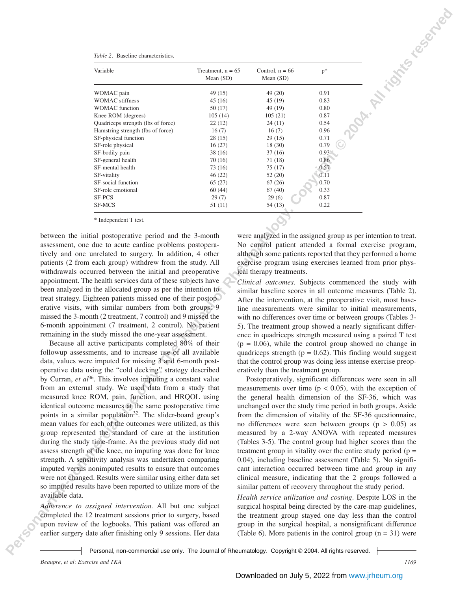|                 | Table 2. Baseline characteristics.                                                                                       |                                    |                                                          |              |                                                                                                                           |
|-----------------|--------------------------------------------------------------------------------------------------------------------------|------------------------------------|----------------------------------------------------------|--------------|---------------------------------------------------------------------------------------------------------------------------|
|                 | Variable                                                                                                                 | Treatment, $n = 65$<br>Mean $(SD)$ | Control, $n = 66$<br>Mean $(SD)$                         | $p^*$        |                                                                                                                           |
|                 | WOMAC pain                                                                                                               | 49(15)                             | 49 (20)                                                  | 0.91         |                                                                                                                           |
|                 | <b>WOMAC</b> stiffness                                                                                                   | 45(16)                             | 45 (19)                                                  | 0.83         |                                                                                                                           |
|                 | <b>WOMAC</b> function                                                                                                    | 50 (17)                            | 49 (19)                                                  | 0.80         |                                                                                                                           |
|                 | Knee ROM (degrees)<br>Quadriceps strength (lbs of force)                                                                 | 105(14)<br>22 (12)                 | 105(21)<br>24 (11)                                       | 0.87<br>0.54 |                                                                                                                           |
|                 | Hamstring strength (lbs of force)                                                                                        | 16(7)                              | 16(7)                                                    | 0.96         |                                                                                                                           |
|                 | SF-physical function                                                                                                     | 28(15)                             | 29(15)                                                   | 0.71         |                                                                                                                           |
|                 | SF-role physical<br>SF-bodily pain                                                                                       | 16(27)<br>38(16)                   | 18 (30)<br>37(16)                                        | 0.79<br>0.93 |                                                                                                                           |
|                 | SF-general health                                                                                                        | 70(16)                             | 71(18)                                                   | 0.86         |                                                                                                                           |
|                 | SF-mental health                                                                                                         | 73(16)                             | 75 (17)                                                  | 0.57         |                                                                                                                           |
|                 | SF-vitality                                                                                                              | 46(22)                             | 52(20)                                                   | 0.11         |                                                                                                                           |
|                 | SF-social function<br>SF-role emotional                                                                                  | 65(27)<br>60(44)                   | 67(26)<br>67(40)                                         | 0.70<br>0.33 |                                                                                                                           |
|                 | SF-PCS                                                                                                                   | 29(7)                              | 29(6)                                                    | 0.87         |                                                                                                                           |
|                 | SF-MCS                                                                                                                   | 51(11)                             | 54(13)                                                   | 0.22         |                                                                                                                           |
|                 | * Independent T test.                                                                                                    |                                    |                                                          |              |                                                                                                                           |
|                 | between the initial postoperative period and the 3-month                                                                 |                                    |                                                          |              |                                                                                                                           |
|                 |                                                                                                                          |                                    |                                                          |              |                                                                                                                           |
|                 |                                                                                                                          |                                    |                                                          |              | were analyzed in the assigned group as per intention to treat.                                                            |
|                 | assessment, one due to acute cardiac problems postopera-                                                                 |                                    |                                                          |              | No control patient attended a formal exercise program,                                                                    |
|                 | tively and one unrelated to surgery. In addition, 4 other                                                                |                                    |                                                          |              | although some patients reported that they performed a home                                                                |
|                 | patients (2 from each group) withdrew from the study. All                                                                |                                    |                                                          |              | exercise program using exercises learned from prior phys-                                                                 |
|                 | withdrawals occurred between the initial and preoperative                                                                |                                    | ical therapy treatments.                                 |              |                                                                                                                           |
|                 | appointment. The health services data of these subjects have                                                             |                                    |                                                          |              | Clinical outcomes. Subjects commenced the study with                                                                      |
|                 | been analyzed in the allocated group as per the intention to                                                             |                                    |                                                          |              | similar baseline scores in all outcome measures (Table 2).                                                                |
|                 | treat strategy. Eighteen patients missed one of their postop-                                                            |                                    |                                                          |              | After the intervention, at the preoperative visit, most base-                                                             |
|                 | erative visits, with similar numbers from both groups: 9<br>missed the 3-month (2 treatment, 7 control) and 9 missed the |                                    |                                                          |              | line measurements were similar to initial measurements,                                                                   |
|                 | 6-month appointment (7 treatment, 2 control). No patient                                                                 |                                    |                                                          |              | with no differences over time or between groups (Tables 3-                                                                |
|                 | remaining in the study missed the one-year assessment.                                                                   |                                    |                                                          |              | 5). The treatment group showed a nearly significant differ-<br>ence in quadriceps strength measured using a paired T test |
|                 | Because all active participants completed 80% of their                                                                   |                                    |                                                          |              | $(p = 0.06)$ , while the control group showed no change in                                                                |
|                 | followup assessments, and to increase use of all available                                                               |                                    |                                                          |              | quadriceps strength ( $p = 0.62$ ). This finding would suggest                                                            |
|                 | data, values were imputed for missing 3 and 6-month post-                                                                |                                    |                                                          |              | that the control group was doing less intense exercise preop-                                                             |
|                 | operative data using the "cold decking" strategy described                                                               |                                    | eratively than the treatment group.                      |              |                                                                                                                           |
|                 | by Curran, et $al^{36}$ . This involves imputing a constant value                                                        |                                    |                                                          |              | Postoperatively, significant differences were seen in all                                                                 |
|                 | from an external study. We used data from a study that                                                                   |                                    |                                                          |              | measurements over time ( $p < 0.05$ ), with the exception of                                                              |
|                 | measured knee ROM, pain, function, and HRQOL using                                                                       |                                    |                                                          |              | the general health dimension of the SF-36, which was                                                                      |
|                 | identical outcome measures at the same postoperative time                                                                |                                    |                                                          |              | unchanged over the study time period in both groups. Aside                                                                |
|                 | points in a similar population <sup>32</sup> . The slider-board group's                                                  |                                    |                                                          |              | from the dimension of vitality of the SF-36 questionnaire,                                                                |
|                 | mean values for each of the outcomes were utilized, as this                                                              |                                    |                                                          |              | no differences were seen between groups ( $p > 0.05$ ) as                                                                 |
|                 | group represented the standard of care at the institution                                                                |                                    |                                                          |              | measured by a 2-way ANOVA with repeated measures                                                                          |
|                 | during the study time-frame. As the previous study did not                                                               |                                    |                                                          |              | (Tables 3-5). The control group had higher scores than the                                                                |
|                 | assess strength of the knee, no imputing was done for knee                                                               |                                    |                                                          |              | treatment group in vitality over the entire study period ( $p =$                                                          |
|                 | strength. A sensitivity analysis was undertaken comparing                                                                |                                    |                                                          |              | 0.04), including baseline assessment (Table 5). No signifi-                                                               |
|                 | imputed versus nonimputed results to ensure that outcomes                                                                |                                    |                                                          |              | cant interaction occurred between time and group in any                                                                   |
|                 | were not changed. Results were similar using either data set                                                             |                                    |                                                          |              | clinical measure, indicating that the 2 groups followed a                                                                 |
|                 | so imputed results have been reported to utilize more of the                                                             |                                    | similar pattern of recovery throughout the study period. |              |                                                                                                                           |
| available data. |                                                                                                                          |                                    |                                                          |              | Health service utilization and costing. Despite LOS in the                                                                |
|                 | Adherence to assigned intervention. All but one subject<br>completed the 12 treatment sessions prior to surgery, based   |                                    |                                                          |              | surgical hospital being directed by the care-map guidelines,<br>the treatment group stayed one day less than the control  |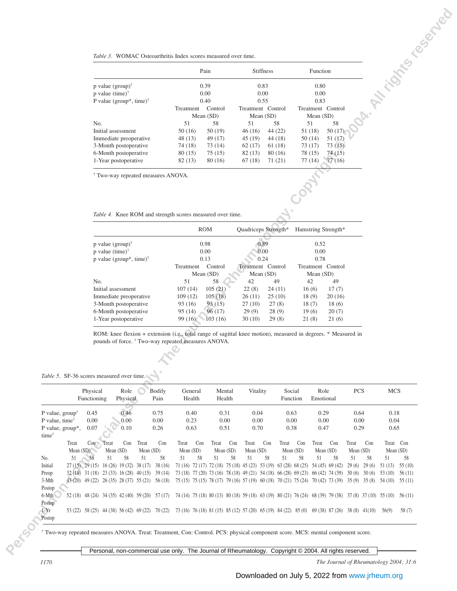|                                     |           | Pain        | <b>Stiffness</b>  |         | Function          |         |
|-------------------------------------|-----------|-------------|-------------------|---------|-------------------|---------|
| p value $(group)^{\dagger}$         | 0.39      |             |                   | 0.83    |                   | 0.80    |
| p value $(time)^{\dagger}$          |           | 0.00        | 0.00              |         | 0.00              |         |
| P value (group*, time) <sup>†</sup> |           | 0.40        | 0.55              |         | 0.83              |         |
|                                     | Treatment | Control     | Treatment Control |         | Treatment Control |         |
|                                     |           | Mean $(SD)$ | Mean $(SD)$       |         | Mean (SD)         |         |
| No.                                 | 51        | 58          | 51                | 58      | 51                | 58      |
| Initial assessment                  | 50(16)    | 50 (19)     | 46(16)            | 44 (22) | 51 (18)           | 50(17)  |
| Immediate preoperative              | 48 (13)   | 49 (17)     | 45(19)            | 44(18)  | 50(14)            | 51 (17) |
| 3-Month postoperative               | 74 (18)   | 73 (14)     | 62(17)            | 61 (18) | 73 (17)           | 73(15)  |
| 6-Month postoperative               | 80 (15)   | 75(15)      | 82(13)            | 80 (16) | 78 (15)           | 74(15)  |
| 1-Year postoperative                | 82(13)    | 80 (16)     | 67(18)            | 71(21)  | 77 (14)           | 77(16)  |
|                                     |           |             |                   |         |                   |         |

|                                     |           | <b>ROM</b>  | Quadriceps Strength* |        | Hamstring Strength* |        |
|-------------------------------------|-----------|-------------|----------------------|--------|---------------------|--------|
| p value $(group)^{\dagger}$         | 0.98      |             |                      | 0.89   |                     | 0.52   |
| p value $(time)^{\dagger}$          |           | 0.00        | 0.00                 |        | 0.00                |        |
| p value (group*, time) <sup>†</sup> |           | 0.13        | 0.24                 |        | 0.78                |        |
|                                     | Treatment | Control     | Treatment Control    |        | Treatment Control   |        |
|                                     |           | Mean $(SD)$ | Mean $(SD)$          |        | Mean $(SD)$         |        |
| No.                                 | 51        | 58          | 42                   | 49     | 42                  | 49     |
| Initial assessment                  | 107(14)   | 105(21)     | 22(8)                | 24(11) | 16(6)               | 17(7)  |
| Immediate preoperative              | 109(12)   | 105(18)     | 26(11)               | 25(10) | 18(9)               | 20(16) |
| 3-Month postoperative               | 93 (16)   | 93(15)      | 27(10)               | 27(8)  | 18(7)               | 18(6)  |
| 6-Month postoperative               | 95 (14)   | 96(17)      | 29(9)                | 28(9)  | 19(6)               | 20(7)  |
| 1-Year postoperative                | 99 (16)   | 103(16)     | 30(10)               | 29(8)  | 21 (8)              | 21(6)  |

# *Table 5.* SF-36 scores measured over time.

|                                       | Table 3. WOMAC Osteoarthritis Index scores measured over time.                                                                                                                  | Pain                                    | <b>Stiffness</b>                                                                                               |                       | Function                               |                       | Mr. is this co. de Noo |
|---------------------------------------|---------------------------------------------------------------------------------------------------------------------------------------------------------------------------------|-----------------------------------------|----------------------------------------------------------------------------------------------------------------|-----------------------|----------------------------------------|-----------------------|------------------------|
|                                       | p value $(group)^{\dagger}$                                                                                                                                                     | 0.39                                    | 0.83                                                                                                           |                       | 0.80                                   |                       |                        |
|                                       | p value $(time)^{\dagger}$<br>P value (group*, time) <sup>†</sup>                                                                                                               | 0.00<br>0.40                            | 0.00<br>0.55                                                                                                   |                       | 0.00<br>0.83                           |                       |                        |
|                                       |                                                                                                                                                                                 | Control<br>Treatment<br>Mean (SD)       | Treatment Control<br>Mean (SD)                                                                                 |                       | Treatment Control<br>Mean (SD)         |                       |                        |
|                                       | No.<br>Initial assessment                                                                                                                                                       | 51<br>58<br>50(16)<br>50(19)            | 51<br>46(16)                                                                                                   | 58<br>44 (22)         | 58<br>51<br>50(17)<br>51(18)           |                       |                        |
|                                       | Immediate preoperative                                                                                                                                                          | 48 (13)<br>49 (17)                      | 45(19)                                                                                                         | 44(18)                | 51(17)<br>50(14)                       |                       |                        |
|                                       | 3-Month postoperative                                                                                                                                                           | 74 (18)<br>73 (14)                      | 62(17)                                                                                                         | 61 (18)               | 73(17)<br>73(15)                       |                       |                        |
|                                       | 6-Month postoperative<br>1-Year postoperative                                                                                                                                   | 80(15)<br>75(15)<br>82(13)<br>80 (16)   | 82(13)<br>67(18)                                                                                               | 80(16)<br>71 (21)     | 78 (15)<br>74 (15)<br>77(16)<br>77(14) |                       |                        |
|                                       | <sup>†</sup> Two-way repeated measures ANOVA.                                                                                                                                   |                                         |                                                                                                                |                       |                                        |                       |                        |
|                                       |                                                                                                                                                                                 |                                         |                                                                                                                |                       |                                        |                       |                        |
|                                       | Table 4. Knee ROM and strength scores measured over time.                                                                                                                       |                                         |                                                                                                                |                       |                                        |                       |                        |
|                                       |                                                                                                                                                                                 | <b>ROM</b>                              | Quadriceps Strength*                                                                                           |                       | Hamstring Strength*                    |                       |                        |
|                                       | p value $(group)^{\dagger}$                                                                                                                                                     | 0.98                                    | 0.89                                                                                                           |                       | 0.52                                   |                       |                        |
|                                       | p value $(time)^{\dagger}$<br>p value (group*, time) <sup>†</sup>                                                                                                               | 0.00<br>0.13                            | 0.00<br>0.24                                                                                                   |                       | $0.00\,$<br>0.78                       |                       |                        |
|                                       |                                                                                                                                                                                 | Treatment<br>Control<br>Mean (SD)       | Treatment Control<br>Mean (SD)                                                                                 |                       | Treatment Control<br>Mean (SD)         |                       |                        |
|                                       | No.                                                                                                                                                                             | 51<br>58                                | 42                                                                                                             | 49                    | 42<br>49                               |                       |                        |
|                                       | Initial assessment                                                                                                                                                              | 107(14)<br>105(21)                      | 22(8)                                                                                                          | 24(11)                | 16(6)<br>17(7)                         |                       |                        |
|                                       | Immediate preoperative<br>3-Month postoperative                                                                                                                                 | 109(12)<br>105(18)<br>93 (16)<br>93(15) | 26(11)<br>27(10)                                                                                               | 25(10)<br>27(8)       | 20(16)<br>18(9)<br>18(6)<br>18(7)      |                       |                        |
|                                       | 6-Month postoperative                                                                                                                                                           | 95(14)<br>96(17)                        | 29(9)                                                                                                          | 28(9)                 | 19(6)<br>20(7)                         |                       |                        |
|                                       | 1-Year postoperative                                                                                                                                                            | 99 (16)<br>103(16)                      | 30(10)                                                                                                         | 29(8)                 | 21(6)<br>21(8)                         |                       |                        |
|                                       | ROM: knee flexion + extension (i.e., total range of sagittal knee motion), measured in degrees. * Measured in<br>pounds of force. <sup>†</sup> Two-way repeated measures ANOVA. |                                         |                                                                                                                |                       |                                        |                       |                        |
|                                       |                                                                                                                                                                                 |                                         |                                                                                                                |                       |                                        |                       |                        |
|                                       | Table 5. SF-36 scores measured over time.                                                                                                                                       |                                         |                                                                                                                |                       |                                        |                       |                        |
|                                       | Physical<br><b>Bodily</b><br>Role<br>Functioning<br>Physical<br>Pain                                                                                                            | General<br>Health                       | Mental<br>Vitality<br>Health                                                                                   | Social<br>Function    | Role<br>Emotional                      | <b>PCS</b>            | <b>MCS</b>             |
| P value, $\text{group}^{\dagger}$     | 0.75<br>0.45<br>0.46                                                                                                                                                            | 0.40                                    | 0.31<br>0.04                                                                                                   | 0.63                  | 0.29                                   | 0.64                  | 0.18                   |
| P value, time <sup>†</sup>            | 0.00<br>0.00<br>0.00                                                                                                                                                            | 0.23                                    | 0.00<br>0.00                                                                                                   | 0.00                  | 0.00                                   | 0.00                  | 0.04                   |
| P value, group*,<br>time <sup>†</sup> | 0.07<br>0.26<br>0.10                                                                                                                                                            | 0.63                                    | 0.51<br>0.70                                                                                                   | 0.38                  | 0.47                                   | 0.29                  | 0.65                   |
| Treat                                 | Con<br>Con<br>Con<br>Treat<br>Treat                                                                                                                                             | Treat<br>Con<br>Treat                   | Con<br>Con<br>Treat                                                                                            | Treat<br>Con          | Treat<br>Con                           | Treat<br>Con          | Treat Con              |
| Mean $(SD)$<br>51<br>No.              | Mean (SD)<br>Mean (SD)<br>58<br>51<br>58<br>51<br>58                                                                                                                            | Mean (SD)<br>51<br>58<br>51             | Mean (SD)<br>Mean $(SD)$<br>58<br>51<br>58                                                                     | Mean (SD)<br>51<br>58 | Mean (SD)<br>51<br>58                  | Mean (SD)<br>51<br>58 | Mean (SD)<br>51<br>58  |
| Initial                               | 27 (15) 29 (15) 16 (26) 19 (32) 38 (17) 38 (16)                                                                                                                                 |                                         | 71 (16) 72 (17) 72 (18) 75 (18) 45 (23) 53 (19) 63 (28) 68 (25) 54 (45) 69 (42)                                |                       |                                        | $29(6)$ $29(6)$       | $51(13)$ $55(10)$      |
| Preop                                 | 32 (18) 31 (18) 23 (33) 16 (28) 40 (15)<br>39(14)                                                                                                                               |                                         | 73 (18) 77 (20) 73 (16) 78 (18) 49 (21) 54 (18) 66 (28) 69 (23) 66 (42) 74 (39)                                |                       |                                        | 30(6) 30(6)           | 53 (10)<br>56(11)      |
| 3-Mth<br>Postop                       | 43 (20) 49 (22) 26 (35) 28 (37) 55 (21) 56 (18)                                                                                                                                 |                                         | 75 (15) 75 (15) 78 (17) 79 (16) 57 (19) 60 (18) 70 (21) 75 (24) 70 (42) 73 (39) 35 (9) 35 (8) 54 (10) 55 (11)  |                       |                                        |                       |                        |
| 6-Mth                                 | 52 (18) 48 (24) 34 (35) 42 (40) 59 (20) 57 (17)                                                                                                                                 |                                         | 74 (14) 75 (18) 80 (13) 80 (18) 59 (18) 63 (19) 80 (21) 76 (24) 68 (39) 79 (38) 37 (8) 37 (10) 55 (10) 56 (11) |                       |                                        |                       |                        |
| Postop                                |                                                                                                                                                                                 |                                         |                                                                                                                |                       |                                        |                       |                        |

*1170 The Journal of Rheumatology 2004; 31:6*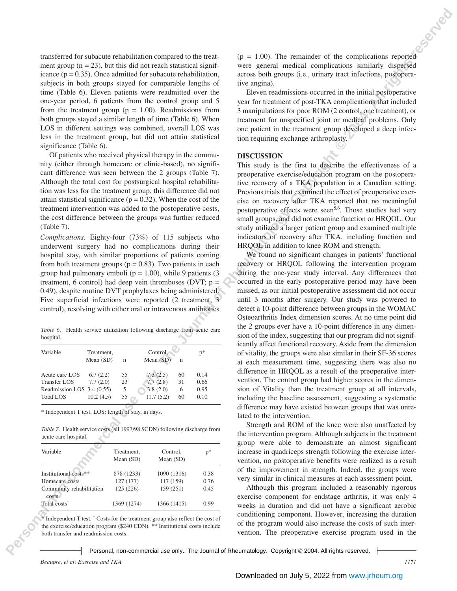transferred for subacute rehabilitation compared to the treatment group  $(n = 23)$ , but this did not reach statistical significance  $(p = 0.35)$ . Once admitted for subacute rehabilitation, subjects in both groups stayed for comparable lengths of time (Table 6). Eleven patients were readmitted over the one-year period, 6 patients from the control group and 5 from the treatment group ( $p = 1.00$ ). Readmissions from both groups stayed a similar length of time (Table 6). When LOS in different settings was combined, overall LOS was less in the treatment group, but did not attain statistical significance (Table 6).

Of patients who received physical therapy in the community (either through homecare or clinic-based), no significant difference was seen between the 2 groups (Table 7). Although the total cost for postsurgical hospital rehabilitation was less for the treatment group, this difference did not attain statistical significance ( $p = 0.32$ ). When the cost of the treatment intervention was added to the postoperative costs, the cost difference between the groups was further reduced (Table 7).

*Complications.* Eighty-four (73%) of 115 subjects who underwent surgery had no complications during their hospital stay, with similar proportions of patients coming from both treatment groups ( $p = 0.83$ ). Two patients in each group had pulmonary emboli ( $p = 1.00$ ), while 9 patients (3) treatment, 6 control) had deep vein thromboses (DVT;  $p =$ 0.49), despite routine DVT prophylaxes being administered. Five superficial infections were reported (2 treatment, 3 control), resolving with either oral or intravenous antibiotics

|           | Table 6. Health service utilization following discharge from acute care |  |  |  |
|-----------|-------------------------------------------------------------------------|--|--|--|
| hospital. |                                                                         |  |  |  |

| Variable                   | Treatment,<br>Mean $(SD)$ | n  | Control.<br>Mean (SD) | $\mathsf{n}$ | $p*$ |
|----------------------------|---------------------------|----|-----------------------|--------------|------|
| Acute care LOS             | 6.7(2.2)                  | 55 | 7.3(2.5)              | 60           | 0.14 |
| <b>Transfer LOS</b>        | 7.7(2.0)                  | 23 | 7.7(2.8)              | 31           | 0.66 |
| Readmission LOS 3.4 (0.55) |                           | 5  | 3.8(2.0)              | 6            | 0.95 |
| <b>Total LOS</b>           | 10.2(4.5)                 | 55 | 11.7(5.2)             | 60           | 0.10 |

\* Independent T test. LOS: length of stay, in days.

*Table 7.* Health service costs (all 1997/98 \$CDN) following discharge from acute care hospital.

| Variable                          | Treatment,  | Control.    | $p*$ |
|-----------------------------------|-------------|-------------|------|
|                                   | Mean $(SD)$ | Mean $(SD)$ |      |
| Institutional costs**             | 878 (1233)  | 1090 (1316) | 0.38 |
| Homecare costs                    | 127 (177)   | 117 (159)   | 0.76 |
| Community rehabilitation<br>costs | 125 (226)   | 159 (251)   | 0.45 |
| Total costs <sup>†</sup>          | 1369 (1274) | 1366 (1415) | 0.99 |

\* Independent T test. † Costs for the treatment group also reflect the cost of the exercise/education program (\$240 CDN). \*\* Institutional costs include both transfer and readmission costs.

 $(p = 1.00)$ . The remainder of the complications reported were general medical complications similarly dispersed across both groups (i.e., urinary tract infections, postoperative angina).

Eleven readmissions occurred in the initial postoperative year for treatment of post-TKA complications that included 3 manipulations for poor ROM (2 control, one treatment), or treatment for unspecified joint or medical problems. Only one patient in the treatment group developed a deep infection requiring exchange arthroplasty.

# **DISCUSSION**

This study is the first to describe the effectiveness of a preoperative exercise/education program on the postoperative recovery of a TKA population in a Canadian setting. Previous trials that examined the effect of preoperative exercise on recovery after TKA reported that no meaningful postoperative effects were seen<sup>5,6</sup>. Those studies had very small groups, and did not examine function or HRQOL. Our study utilized a larger patient group and examined multiple indicators of recovery after TKA, including function and HRQOL in addition to knee ROM and strength.

**Personal of reduction compact to be varied to be varied to be a complete of the complete original of the set of the set of the set of the set of the set of the set of the set of the set of the set of the set of the set o** We found no significant changes in patients' functional recovery or HRQOL following the intervention program during the one-year study interval. Any differences that occurred in the early postoperative period may have been missed, as our initial postoperative assessment did not occur until 3 months after surgery. Our study was powered to detect a 10-point difference between groups in the WOMAC Osteoarthritis Index dimension scores. At no time point did the 2 groups ever have a 10-point difference in any dimension of the index, suggesting that our program did not significantly affect functional recovery. Aside from the dimension of vitality, the groups were also similar in their SF-36 scores at each measurement time, suggesting there was also no difference in HRQOL as a result of the preoperative intervention. The control group had higher scores in the dimension of Vitality than the treatment group at all intervals, including the baseline assessment, suggesting a systematic difference may have existed between groups that was unrelated to the intervention.

Strength and ROM of the knee were also unaffected by the intervention program. Although subjects in the treatment group were able to demonstrate an almost significant increase in quadriceps strength following the exercise intervention, no postoperative benefits were realized as a result of the improvement in strength. Indeed, the groups were very similar in clinical measures at each assessment point.

Although this program included a reasonably rigorous exercise component for endstage arthritis, it was only 4 weeks in duration and did not have a significant aerobic conditioning component. However, increasing the duration of the program would also increase the costs of such intervention. The preoperative exercise program used in the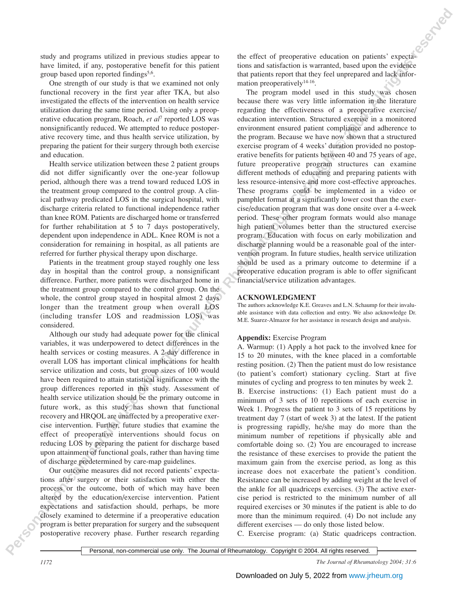study and programs utilized in previous studies appear to have limited, if any, postoperative benefit for this patient group based upon reported findings<sup>5,6</sup>.

One strength of our study is that we examined not only functional recovery in the first year after TKA, but also investigated the effects of the intervention on health service utilization during the same time period. Using only a preoperative education program, Roach, *et al*<sup>7</sup> reported LOS was nonsignificantly reduced. We attempted to reduce postoperative recovery time, and thus health service utilization, by preparing the patient for their surgery through both exercise and education.

Health service utilization between these 2 patient groups did not differ significantly over the one-year followup period, although there was a trend toward reduced LOS in the treatment group compared to the control group. A clinical pathway predicated LOS in the surgical hospital, with discharge criteria related to functional independence rather than knee ROM. Patients are discharged home or transferred for further rehabilitation at 5 to 7 days postoperatively, dependent upon independence in ADL. Knee ROM is not a consideration for remaining in hospital, as all patients are referred for further physical therapy upon discharge.

Patients in the treatment group stayed roughly one less day in hospital than the control group, a nonsignificant difference. Further, more patients were discharged home in the treatment group compared to the control group. On the whole, the control group stayed in hospital almost 2 days longer than the treatment group when overall LOS (including transfer LOS and readmission LOS) was considered.

Although our study had adequate power for the clinical variables, it was underpowered to detect differences in the health services or costing measures. A 2-day difference in overall LOS has important clinical implications for health service utilization and costs, but group sizes of 100 would have been required to attain statistical significance with the group differences reported in this study. Assessment of health service utilization should be the primary outcome in future work, as this study has shown that functional recovery and HRQOL are unaffected by a preoperative exercise intervention. Further, future studies that examine the effect of preoperative interventions should focus on reducing LOS by preparing the patient for discharge based upon attainment of functional goals, rather than having time of discharge predetermined by care-map guidelines.

Our outcome measures did not record patients' expectations after surgery or their satisfaction with either the process or the outcome, both of which may have been altered by the education/exercise intervention. Patient expectations and satisfaction should, perhaps, be more closely examined to determine if a preoperative education program is better preparation for surgery and the subsequent postoperative recovery phase. Further research regarding the effect of preoperative education on patients' expectations and satisfaction is warranted, based upon the evidence that patients report that they feel unprepared and lack information preoperatively<sup>14-16</sup>.

**PERS** and personal non-commercial use of the Journal of Rheumatology. The Markov and the Southern Commercial Use of Personal of Personal non-commercial use of the Southern Commercial Use of Commercial Use of Commercial U The program model used in this study was chosen because there was very little information in the literature regarding the effectiveness of a preoperative exercise/ education intervention. Structured exercise in a monitored environment ensured patient compliance and adherence to the program. Because we have now shown that a structured exercise program of 4 weeks' duration provided no postoperative benefits for patients between 40 and 75 years of age, future preoperative program structures can examine different methods of educating and preparing patients with less resource-intensive and more cost-effective approaches. These programs could be implemented in a video or pamphlet format at a significantly lower cost than the exercise/education program that was done onsite over a 4-week period. These other program formats would also manage high patient volumes better than the structured exercise program. Education with focus on early mobilization and discharge planning would be a reasonable goal of the intervention program. In future studies, health service utilization should be used as a primary outcome to determine if a preoperative education program is able to offer significant financial/service utilization advantages.

# **ACKNOWLEDGMENT**

The authors acknowledge K.E. Greaves and L.N. Schaump for their invaluable assistance with data collection and entry. We also acknowledge Dr. M.E. Suarez-Almazor for her assistance in research design and analysis.

# **Appendix:** Exercise Program

A. Warmup: (1) Apply a hot pack to the involved knee for 15 to 20 minutes, with the knee placed in a comfortable resting position. (2) Then the patient must do low resistance (to patient's comfort) stationary cycling. Start at five minutes of cycling and progress to ten minutes by week 2.

B. Exercise instructions: (1) Each patient must do a minimum of 3 sets of 10 repetitions of each exercise in Week 1. Progress the patient to 3 sets of 15 repetitions by treatment day 7 (start of week 3) at the latest. If the patient is progressing rapidly, he/she may do more than the minimum number of repetitions if physically able and comfortable doing so. (2) You are encouraged to increase the resistance of these exercises to provide the patient the maximum gain from the exercise period, as long as this increase does not exacerbate the patient's condition. Resistance can be increased by adding weight at the level of the ankle for all quadriceps exercises. (3) The active exercise period is restricted to the minimum number of all required exercises or 30 minutes if the patient is able to do more than the minimum required. (4) Do not include any different exercises — do only those listed below.

C. Exercise program: (a) Static quadriceps contraction.